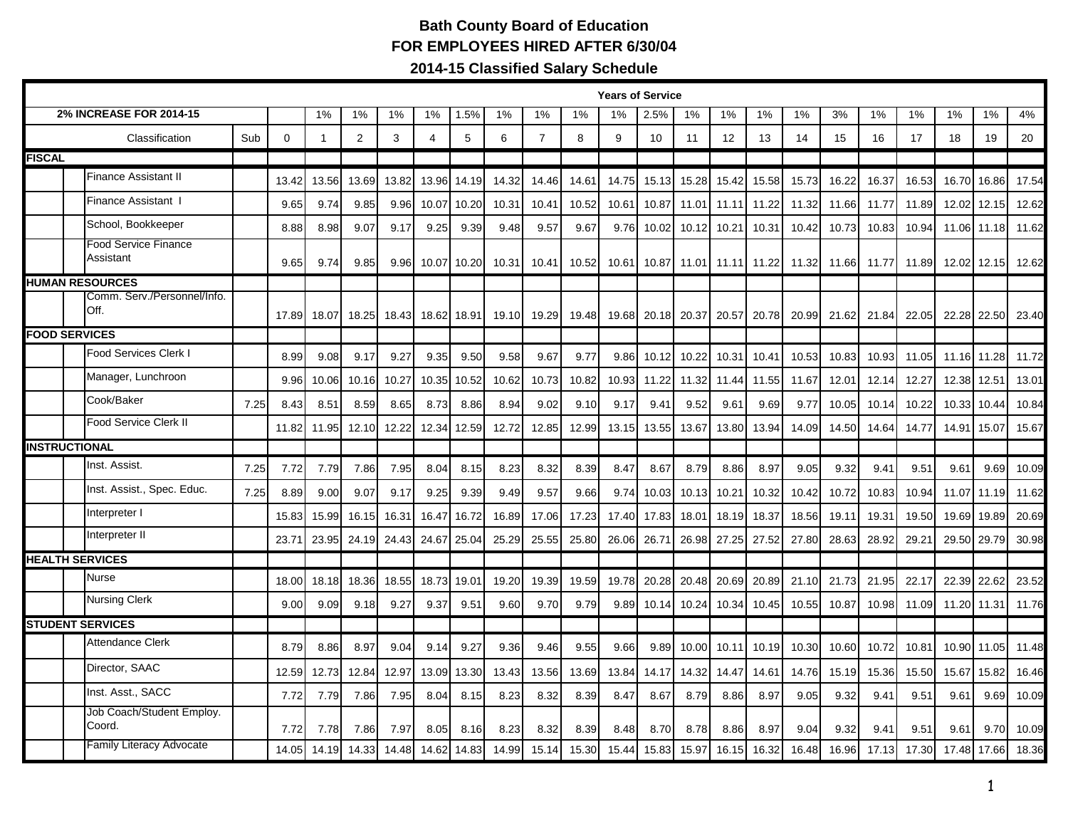## **Bath County Board of Education FOR EMPLOYEES HIRED AFTER 6/30/04**

**2014-15 Classified Salary Schedule**

|                         | <b>Years of Service</b>                  |      |             |       |       |       |                |       |       |                |       |       |       |       |       |             |       |       |       |       |       |             |       |
|-------------------------|------------------------------------------|------|-------------|-------|-------|-------|----------------|-------|-------|----------------|-------|-------|-------|-------|-------|-------------|-------|-------|-------|-------|-------|-------------|-------|
|                         | <b>2% INCREASE FOR 2014-15</b>           |      |             | 1%    | 1%    | 1%    | 1%             | 1.5%  | 1%    | 1%             | 1%    | 1%    | 2.5%  | 1%    | 1%    | 1%          | 1%    | 3%    | 1%    | 1%    | 1%    | 1%          | 4%    |
| Classification<br>Sub   |                                          |      | $\mathbf 0$ | -1    | 2     | 3     | $\overline{4}$ | 5     | 6     | $\overline{7}$ | 8     | 9     | 10    | 11    | 12    | 13          | 14    | 15    | 16    | 17    | 18    | 19          | 20    |
| <b>FISCAL</b>           |                                          |      |             |       |       |       |                |       |       |                |       |       |       |       |       |             |       |       |       |       |       |             |       |
|                         | <b>Finance Assistant II</b>              |      | 13.42       | 13.56 | 13.69 | 13.82 | 13.96          | 14.19 | 14.32 | 14.46          | 14.61 | 14.75 | 15.13 | 15.28 | 15.42 | 15.58       | 15.73 | 16.22 | 16.37 | 16.53 | 16.70 | 16.86       | 17.54 |
|                         | Finance Assistant I                      |      | 9.65        | 9.74  | 9.85  | 9.96  | 10.07          | 10.20 | 10.31 | 10.41          | 10.52 | 10.61 | 10.87 | 11.01 | 11.11 | 11.22       | 11.32 | 11.66 | 11.77 | 11.89 | 12.02 | 12.15       | 12.62 |
|                         | School, Bookkeeper                       |      | 8.88        | 8.98  | 9.07  | 9.17  | 9.25           | 9.39  | 9.48  | 9.57           | 9.67  | 9.76  | 10.02 | 10.12 | 10.21 | 10.31       | 10.42 | 10.73 | 10.83 | 10.94 | 11.06 | 11.18       | 11.62 |
|                         | <b>Food Service Finance</b><br>Assistant |      | 9.65        | 9.74  | 9.85  | 9.96  | 10.07          | 10.20 | 10.31 | 10.41          | 10.52 | 10.61 | 10.87 | 11.01 |       | 11.11 11.22 | 11.32 | 11.66 | 11.77 | 11.89 |       | 12.02 12.15 | 12.62 |
|                         | <b>HUMAN RESOURCES</b>                   |      |             |       |       |       |                |       |       |                |       |       |       |       |       |             |       |       |       |       |       |             |       |
|                         | Comm. Serv./Personnel/Info.<br>Off.      |      | 17.89       | 18.07 | 18.25 | 18.43 | 18.62          | 18.91 | 19.10 | 19.29          | 19.48 | 19.68 | 20.18 | 20.37 | 20.57 | 20.78       | 20.99 | 21.62 | 21.84 | 22.05 |       | 22.28 22.50 | 23.40 |
| <b>FOOD SERVICES</b>    |                                          |      |             |       |       |       |                |       |       |                |       |       |       |       |       |             |       |       |       |       |       |             |       |
|                         | <b>Food Services Clerk I</b>             |      | 8.99        | 9.08  | 9.17  | 9.27  | 9.35           | 9.50  | 9.58  | 9.67           | 9.77  | 9.86  | 10.12 | 10.22 | 10.31 | 10.41       | 10.53 | 10.83 | 10.93 | 11.05 | 11.16 | 11.28       | 11.72 |
|                         | Manager, Lunchroon                       |      | 9.96        | 10.06 | 10.16 | 10.27 | 10.35          | 10.52 | 10.62 | 10.73          | 10.82 | 10.93 | 11.22 | 11.32 | 11.44 | 11.55       | 11.67 | 12.01 | 12.14 | 12.27 | 12.38 | 12.51       | 13.01 |
|                         | Cook/Baker                               | 7.25 | 8.43        | 8.51  | 8.59  | 8.65  | 8.73           | 8.86  | 8.94  | 9.02           | 9.10  | 9.17  | 9.41  | 9.52  | 9.61  | 9.69        | 9.77  | 10.05 | 10.14 | 10.22 | 10.33 | 10.44       | 10.84 |
|                         | <b>Food Service Clerk II</b>             |      | 11.82       | 11.95 | 12.10 | 12.22 | 12.34          | 12.59 | 12.72 | 12.85          | 12.99 | 13.15 | 13.55 | 13.67 | 13.80 | 13.94       | 14.09 | 14.50 | 14.64 | 14.77 | 14.91 | 15.07       | 15.67 |
|                         | <b>INSTRUCTIONAL</b>                     |      |             |       |       |       |                |       |       |                |       |       |       |       |       |             |       |       |       |       |       |             |       |
|                         | Inst. Assist.                            | 7.25 | 7.72        | 7.79  | 7.86  | 7.95  | 8.04           | 8.15  | 8.23  | 8.32           | 8.39  | 8.47  | 8.67  | 8.79  | 8.86  | 8.97        | 9.05  | 9.32  | 9.41  | 9.51  | 9.61  | 9.69        | 10.09 |
|                         | Inst. Assist., Spec. Educ.               | 7.25 | 8.89        | 9.00  | 9.07  | 9.17  | 9.25           | 9.39  | 9.49  | 9.57           | 9.66  | 9.74  | 10.03 | 10.13 | 10.21 | 10.32       | 10.42 | 10.72 | 10.83 | 10.94 | 11.07 | 11.19       | 11.62 |
|                         | Interpreter I                            |      | 15.83       | 15.99 | 16.15 | 16.31 | 16.47          | 16.72 | 16.89 | 17.06          | 17.23 | 17.40 | 17.83 | 18.01 | 18.19 | 18.37       | 18.56 | 19.11 | 19.31 | 19.50 | 19.69 | 19.89       | 20.69 |
|                         | Interpreter II                           |      | 23.71       | 23.95 | 24.19 | 24.43 | 24.67          | 25.04 | 25.29 | 25.55          | 25.80 | 26.06 | 26.71 | 26.98 | 27.25 | 27.52       | 27.80 | 28.63 | 28.92 | 29.21 | 29.50 | 29.79       | 30.98 |
|                         | <b>HEALTH SERVICES</b>                   |      |             |       |       |       |                |       |       |                |       |       |       |       |       |             |       |       |       |       |       |             |       |
|                         | <b>Nurse</b>                             |      | 18.00       | 18.18 | 18.36 | 18.55 | 18.73          | 19.01 | 19.20 | 19.39          | 19.59 | 19.78 | 20.28 | 20.48 | 20.69 | 20.89       | 21.10 | 21.73 | 21.95 | 22.17 | 22.39 | 22.62       | 23.52 |
|                         | <b>Nursing Clerk</b>                     |      | 9.00        | 9.09  | 9.18  | 9.27  | 9.37           | 9.51  | 9.60  | 9.70           | 9.79  | 9.89  | 10.14 | 10.24 | 10.34 | 10.45       | 10.55 | 10.87 | 10.98 | 11.09 | 11.20 | 11.31       | 11.76 |
| <b>STUDENT SERVICES</b> |                                          |      |             |       |       |       |                |       |       |                |       |       |       |       |       |             |       |       |       |       |       |             |       |
|                         | <b>Attendance Clerk</b>                  |      | 8.79        | 8.86  | 8.97  | 9.04  | 9.14           | 9.27  | 9.36  | 9.46           | 9.55  | 9.66  | 9.89  | 10.00 | 10.11 | 10.19       | 10.30 | 10.60 | 10.72 | 10.81 | 10.90 | 11.05       | 11.48 |
|                         | Director, SAAC                           |      | 12.59       | 12.73 | 12.84 | 12.97 | 13.09          | 13.30 | 13.43 | 13.56          | 13.69 | 13.84 | 14.17 | 14.32 | 14.47 | 14.61       | 14.76 | 15.19 | 15.36 | 15.50 | 15.67 | 15.82       | 16.46 |
|                         | Inst. Asst., SACC                        |      | 7.72        | 7.79  | 7.86  | 7.95  | 8.04           | 8.15  | 8.23  | 8.32           | 8.39  | 8.47  | 8.67  | 8.79  | 8.86  | 8.97        | 9.05  | 9.32  | 9.41  | 9.51  | 9.61  | 9.69        | 10.09 |
|                         | Job Coach/Student Employ.<br>Coord.      |      | 7.72        | 7.78  | 7.86  | 7.97  | 8.05           | 8.16  | 8.23  | 8.32           | 8.39  | 8.48  | 8.70  | 8.78  | 8.86  | 8.97        | 9.04  | 9.32  | 9.41  | 9.51  | 9.61  | 9.70        | 10.09 |
|                         | <b>Family Literacy Advocate</b>          |      | 14.05       | 14.19 | 14.33 | 14.48 | 14.62          | 14.83 | 14.99 | 15.14          | 15.30 | 15.44 | 15.83 | 15.97 | 16.15 | 16.32       | 16.48 | 16.96 | 17.13 | 17.30 | 17.48 | 17.66       | 18.36 |